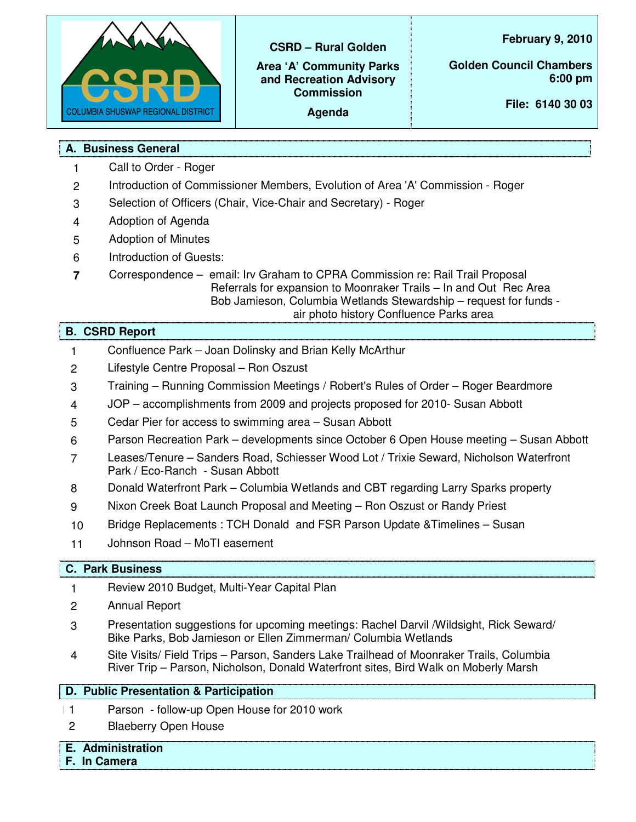

**CSRD – Rural Golden**

**Area 'A' Community Parks and Recreation Advisory Commission**

**Agenda**

**February 9, 2010**

**Golden Council Chambers 6:00 pm**

**File: 6140 30 03**

# **A. Business General**

- 1 Call to Order Roger
- 2 Introduction of Commissioner Members, Evolution of Area 'A' Commission Roger
- 3 Selection of Officers (Chair, Vice-Chair and Secretary) Roger
- 4 Adoption of Agenda
- 5 Adoption of Minutes
- 6 Introduction of Guests:
- **7** Correspondence email: Irv Graham to CPRA Commission re: Rail Trail Proposal Referrals for expansion to Moonraker Trails – In and Out Rec Area Bob Jamieson, Columbia Wetlands Stewardship – request for funds air photo history Confluence Parks area

## **B. CSRD Report**

- 1 Confluence Park Joan Dolinsky and Brian Kelly McArthur
- 2 Lifestyle Centre Proposal Ron Oszust
- 3 Training Running Commission Meetings / Robert's Rules of Order Roger Beardmore
- 4 JOP accomplishments from 2009 and projects proposed for 2010- Susan Abbott
- 5 Cedar Pier for access to swimming area Susan Abbott
- 6 Parson Recreation Park developments since October 6 Open House meeting Susan Abbott
- 7 Leases/Tenure Sanders Road, Schiesser Wood Lot / Trixie Seward, Nicholson Waterfront Park / Eco-Ranch - Susan Abbott
- 8 Donald Waterfront Park Columbia Wetlands and CBT regarding Larry Sparks property
- 9 Nixon Creek Boat Launch Proposal and Meeting Ron Oszust or Randy Priest
- 10 Bridge Replacements : TCH Donald and FSR Parson Update &Timelines Susan
- 11 Johnson Road MoTI easement

## **C. Park Business**

- 1 Review 2010 Budget, Multi-Year Capital Plan
- 2 Annual Report
- 3 Presentation suggestions for upcoming meetings: Rachel Darvil /Wildsight, Rick Seward/ Bike Parks, Bob Jamieson or Ellen Zimmerman/ Columbia Wetlands
- 4 Site Visits/ Field Trips Parson, Sanders Lake Trailhead of Moonraker Trails, Columbia River Trip – Parson, Nicholson, Donald Waterfront sites, Bird Walk on Moberly Marsh

## **D. Public Presentation & Participation**

- 11 Parson follow-up Open House for 2010 work
- 2 Blaeberry Open House

# **E. Administration**

**F. In Camera**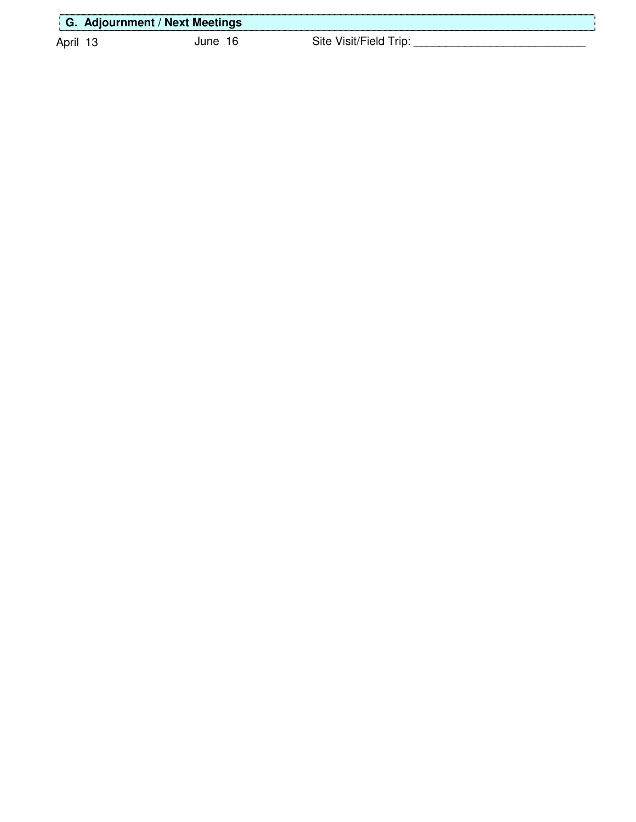| ∥G.<br><b><i><u>Property</u></i></b> | <b>Adjournment / Next Meetings</b> |     |      |  |
|--------------------------------------|------------------------------------|-----|------|--|
| April                                |                                    | une | `ıt∆ |  |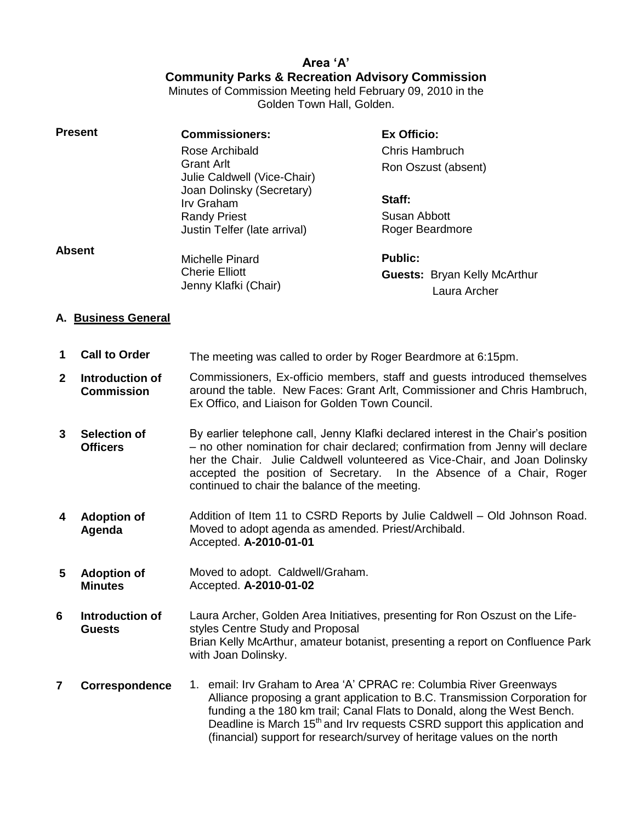# **Area 'A' Community Parks & Recreation Advisory Commission**

Minutes of Commission Meeting held February 09, 2010 in the Golden Town Hall, Golden.

| <b>Present</b> | <b>Commissioners:</b>                            | <b>Ex Officio:</b>                                  |  |
|----------------|--------------------------------------------------|-----------------------------------------------------|--|
|                | Rose Archibald                                   | Chris Hambruch                                      |  |
|                | <b>Grant Arlt</b><br>Julie Caldwell (Vice-Chair) | Ron Oszust (absent)                                 |  |
|                | Joan Dolinsky (Secretary)<br>Irv Graham          | Staff:                                              |  |
|                | <b>Randy Priest</b>                              | Susan Abbott                                        |  |
|                | Justin Telfer (late arrival)                     | Roger Beardmore                                     |  |
| <b>Absent</b>  |                                                  |                                                     |  |
|                | Michelle Pinard                                  | <b>Public:</b>                                      |  |
|                | <b>Cherie Elliott</b><br>Jenny Klafki (Chair)    | <b>Guests: Bryan Kelly McArthur</b><br>Laura Archer |  |

#### **A. Business General**

- **1 Call to Order** The meeting was called to order by Roger Beardmore at 6:15pm.
- **2 Introduction of Commission**  Commissioners, Ex-officio members, staff and guests introduced themselves around the table. New Faces: Grant Arlt, Commissioner and Chris Hambruch, Ex Offico, and Liaison for Golden Town Council.
- **3 Selection of Officers** By earlier telephone call, Jenny Klafki declared interest in the Chair's position – no other nomination for chair declared; confirmation from Jenny will declare her the Chair. Julie Caldwell volunteered as Vice-Chair, and Joan Dolinsky accepted the position of Secretary. In the Absence of a Chair, Roger continued to chair the balance of the meeting.
- **4 Adoption of Agenda** Addition of Item 11 to CSRD Reports by Julie Caldwell – Old Johnson Road. Moved to adopt agenda as amended. Priest/Archibald. Accepted. **A-2010-01-01**
- **5 Adoption of Minutes** Moved to adopt. Caldwell/Graham. Accepted. **A-2010-01-02**
- **6 Introduction of Guests** Laura Archer, Golden Area Initiatives, presenting for Ron Oszust on the Lifestyles Centre Study and Proposal Brian Kelly McArthur, amateur botanist, presenting a report on Confluence Park with Joan Dolinsky.

#### **7 Correspondence** 1. email: Irv Graham to Area 'A' CPRAC re: Columbia River Greenways Alliance proposing a grant application to B.C. Transmission Corporation for funding a the 180 km trail; Canal Flats to Donald, along the West Bench. Deadline is March 15<sup>th</sup> and Irv requests CSRD support this application and (financial) support for research/survey of heritage values on the north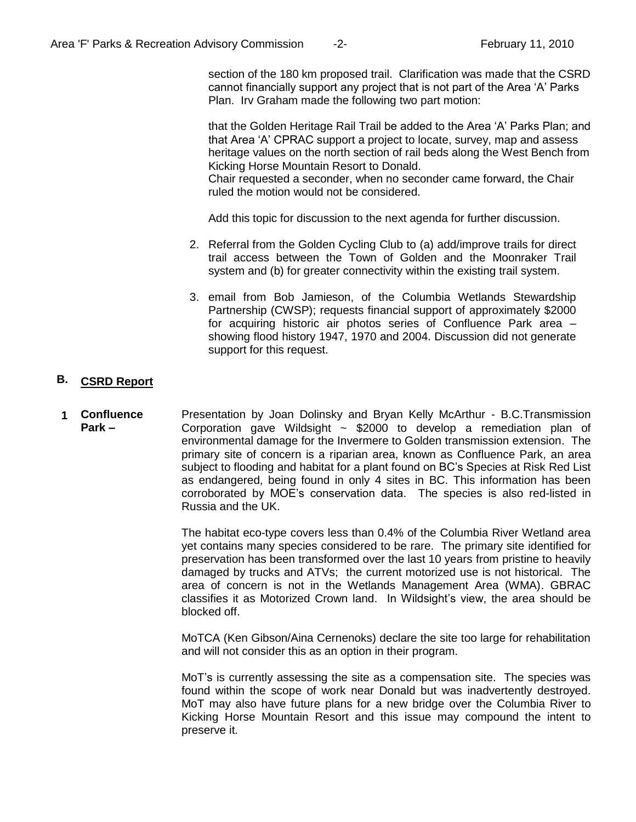section of the 180 km proposed trail. Clarification was made that the CSRD cannot financially support any project that is not part of the Area 'A' Parks Plan. Irv Graham made the following two part motion:

that the Golden Heritage Rail Trail be added to the Area 'A' Parks Plan; and that Area 'A' CPRAC support a project to locate, survey, map and assess heritage values on the north section of rail beds along the West Bench from Kicking Horse Mountain Resort to Donald.

Chair requested a seconder, when no seconder came forward, the Chair ruled the motion would not be considered.

Add this topic for discussion to the next agenda for further discussion.

- 2. Referral from the Golden Cycling Club to (a) add/improve trails for direct trail access between the Town of Golden and the Moonraker Trail system and (b) for greater connectivity within the existing trail system.
- 3. email from Bob Jamieson, of the Columbia Wetlands Stewardship Partnership (CWSP); requests financial support of approximately \$2000 for acquiring historic air photos series of Confluence Park area – showing flood history 1947, 1970 and 2004. Discussion did not generate support for this request.

### **B. CSRD Report**

**1 Confluence Park –** Presentation by Joan Dolinsky and Bryan Kelly McArthur - B.C.Transmission Corporation gave Wildsight  $\sim$  \$2000 to develop a remediation plan of environmental damage for the Invermere to Golden transmission extension. The primary site of concern is a riparian area, known as Confluence Park, an area subject to flooding and habitat for a plant found on BC's Species at Risk Red List as endangered, being found in only 4 sites in BC. This information has been corroborated by MOE's conservation data. The species is also red-listed in Russia and the UK.

> The habitat eco-type covers less than 0.4% of the Columbia River Wetland area yet contains many species considered to be rare. The primary site identified for preservation has been transformed over the last 10 years from pristine to heavily damaged by trucks and ATVs; the current motorized use is not historical. The area of concern is not in the Wetlands Management Area (WMA). GBRAC classifies it as Motorized Crown land. In Wildsight's view, the area should be blocked off.

> MoTCA (Ken Gibson/Aina Cernenoks) declare the site too large for rehabilitation and will not consider this as an option in their program.

> MoT's is currently assessing the site as a compensation site. The species was found within the scope of work near Donald but was inadvertently destroyed. MoT may also have future plans for a new bridge over the Columbia River to Kicking Horse Mountain Resort and this issue may compound the intent to preserve it.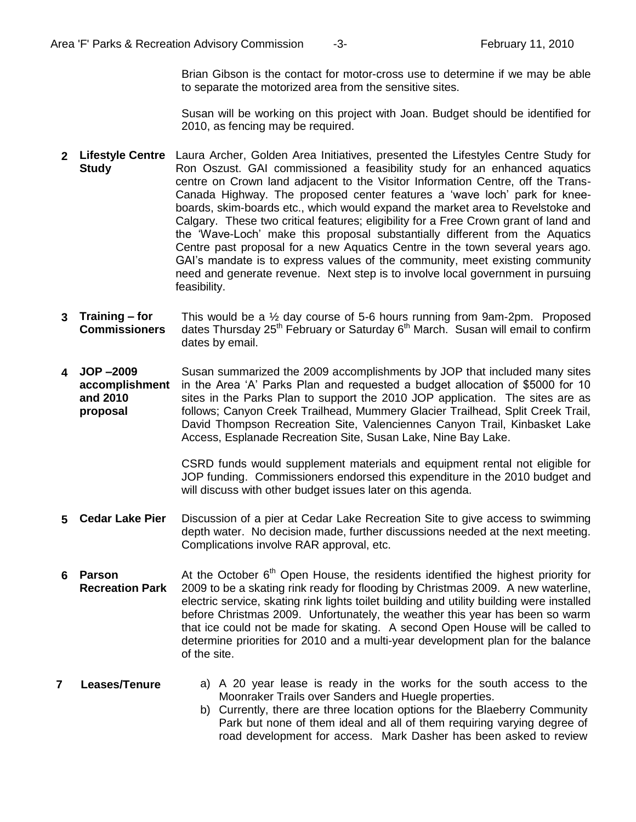Brian Gibson is the contact for motor-cross use to determine if we may be able to separate the motorized area from the sensitive sites.

Susan will be working on this project with Joan. Budget should be identified for 2010, as fencing may be required.

- **2 Lifestyle Centre Study** Laura Archer, Golden Area Initiatives, presented the Lifestyles Centre Study for Ron Oszust. GAI commissioned a feasibility study for an enhanced aquatics centre on Crown land adjacent to the Visitor Information Centre, off the Trans-Canada Highway. The proposed center features a 'wave loch' park for kneeboards, skim-boards etc., which would expand the market area to Revelstoke and Calgary. These two critical features; eligibility for a Free Crown grant of land and the 'Wave-Loch' make this proposal substantially different from the Aquatics Centre past proposal for a new Aquatics Centre in the town several years ago. GAI's mandate is to express values of the community, meet existing community need and generate revenue. Next step is to involve local government in pursuing feasibility.
- **3 Training – for Commissioners** This would be a ½ day course of 5-6 hours running from 9am-2pm. Proposed dates Thursday  $25<sup>th</sup>$  February or Saturday  $6<sup>th</sup>$  March. Susan will email to confirm dates by email.
- **4 JOP –2009 accomplishment and 2010 proposal** Susan summarized the 2009 accomplishments by JOP that included many sites in the Area 'A' Parks Plan and requested a budget allocation of \$5000 for 10 sites in the Parks Plan to support the 2010 JOP application. The sites are as follows; Canyon Creek Trailhead, Mummery Glacier Trailhead, Split Creek Trail, David Thompson Recreation Site, Valenciennes Canyon Trail, Kinbasket Lake Access, Esplanade Recreation Site, Susan Lake, Nine Bay Lake.

CSRD funds would supplement materials and equipment rental not eligible for JOP funding. Commissioners endorsed this expenditure in the 2010 budget and will discuss with other budget issues later on this agenda.

- **5 Cedar Lake Pier** Discussion of a pier at Cedar Lake Recreation Site to give access to swimming depth water. No decision made, further discussions needed at the next meeting. Complications involve RAR approval, etc.
- **6 Parson Recreation Park**  At the October  $6<sup>th</sup>$  Open House, the residents identified the highest priority for 2009 to be a skating rink ready for flooding by Christmas 2009. A new waterline, electric service, skating rink lights toilet building and utility building were installed before Christmas 2009. Unfortunately, the weather this year has been so warm that ice could not be made for skating. A second Open House will be called to determine priorities for 2010 and a multi-year development plan for the balance of the site.

#### **7 Leases/Tenure** a) A 20 year lease is ready in the works for the south access to the Moonraker Trails over Sanders and Huegle properties.

b) Currently, there are three location options for the Blaeberry Community Park but none of them ideal and all of them requiring varying degree of road development for access. Mark Dasher has been asked to review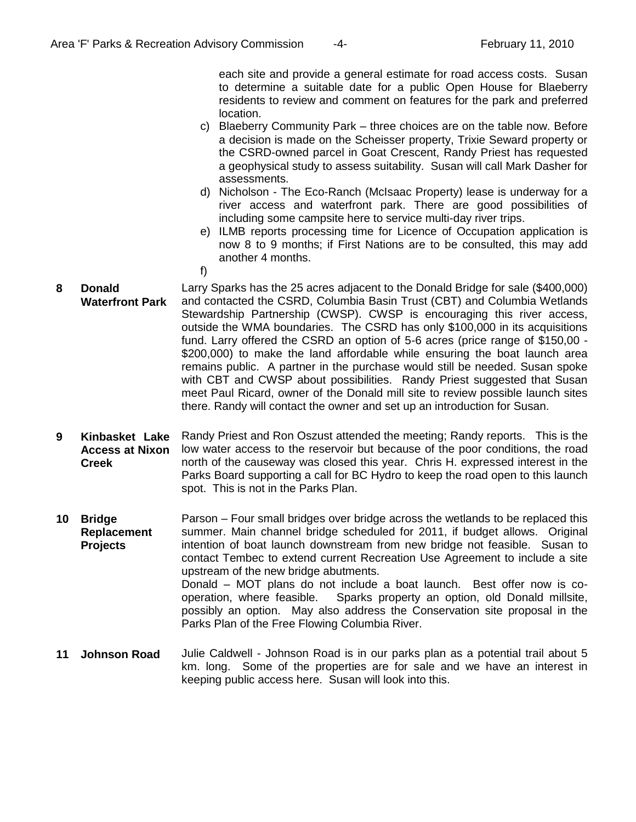each site and provide a general estimate for road access costs. Susan to determine a suitable date for a public Open House for Blaeberry residents to review and comment on features for the park and preferred location.

- c) Blaeberry Community Park three choices are on the table now. Before a decision is made on the Scheisser property, Trixie Seward property or the CSRD-owned parcel in Goat Crescent, Randy Priest has requested a geophysical study to assess suitability. Susan will call Mark Dasher for assessments.
- d) Nicholson The Eco-Ranch (McIsaac Property) lease is underway for a river access and waterfront park. There are good possibilities of including some campsite here to service multi-day river trips.
- e) ILMB reports processing time for Licence of Occupation application is now 8 to 9 months; if First Nations are to be consulted, this may add another 4 months.
- f)
- **8 Donald Waterfront Park** Larry Sparks has the 25 acres adjacent to the Donald Bridge for sale (\$400,000) and contacted the CSRD, Columbia Basin Trust (CBT) and Columbia Wetlands Stewardship Partnership (CWSP). CWSP is encouraging this river access, outside the WMA boundaries. The CSRD has only \$100,000 in its acquisitions fund. Larry offered the CSRD an option of 5-6 acres (price range of \$150,00 - \$200,000) to make the land affordable while ensuring the boat launch area remains public. A partner in the purchase would still be needed. Susan spoke with CBT and CWSP about possibilities. Randy Priest suggested that Susan meet Paul Ricard, owner of the Donald mill site to review possible launch sites there. Randy will contact the owner and set up an introduction for Susan.
- **9 Kinbasket Lake Access at Nixon Creek**  Randy Priest and Ron Oszust attended the meeting; Randy reports. This is the low water access to the reservoir but because of the poor conditions, the road north of the causeway was closed this year. Chris H. expressed interest in the Parks Board supporting a call for BC Hydro to keep the road open to this launch spot. This is not in the Parks Plan.
- **10 Bridge Replacement Projects** Parson – Four small bridges over bridge across the wetlands to be replaced this summer. Main channel bridge scheduled for 2011, if budget allows. Original intention of boat launch downstream from new bridge not feasible. Susan to contact Tembec to extend current Recreation Use Agreement to include a site upstream of the new bridge abutments. Donald – MOT plans do not include a boat launch. Best offer now is cooperation, where feasible. Sparks property an option, old Donald millsite, possibly an option. May also address the Conservation site proposal in the Parks Plan of the Free Flowing Columbia River.
- **11 Johnson Road** Julie Caldwell Johnson Road is in our parks plan as a potential trail about 5 km. long. Some of the properties are for sale and we have an interest in keeping public access here. Susan will look into this.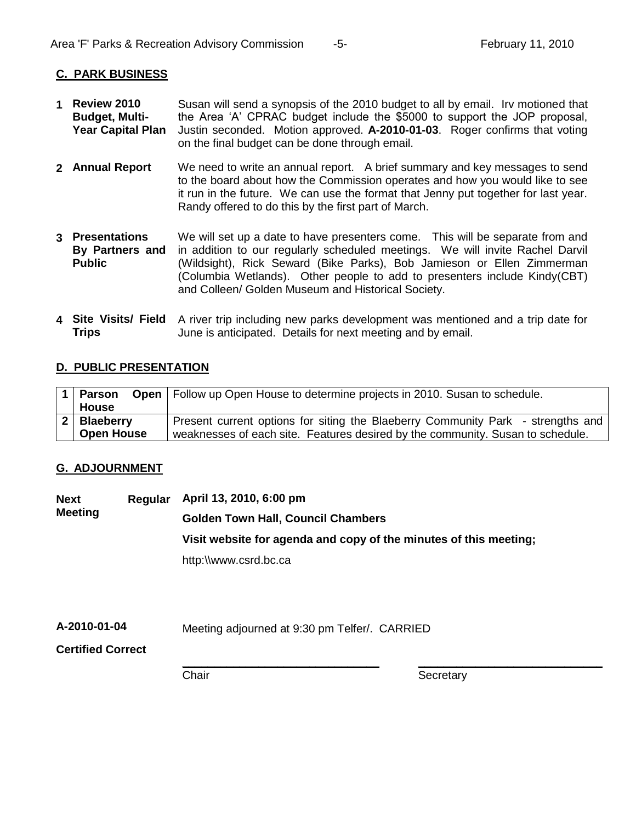### **C. PARK BUSINESS**

- **1 Review 2010 Budget, Multi-Year Capital Plan** Susan will send a synopsis of the 2010 budget to all by email. Irv motioned that the Area 'A' CPRAC budget include the \$5000 to support the JOP proposal, Justin seconded. Motion approved. **A-2010-01-03**. Roger confirms that voting on the final budget can be done through email.
- **2 Annual Report** We need to write an annual report. A brief summary and key messages to send to the board about how the Commission operates and how you would like to see it run in the future. We can use the format that Jenny put together for last year. Randy offered to do this by the first part of March.
- **3 Presentations By Partners and Public** We will set up a date to have presenters come. This will be separate from and in addition to our regularly scheduled meetings. We will invite Rachel Darvil (Wildsight), Rick Seward (Bike Parks), Bob Jamieson or Ellen Zimmerman (Columbia Wetlands). Other people to add to presenters include Kindy(CBT) and Colleen/ Golden Museum and Historical Society.
- 4 Site Visits/ Field A river trip including new parks development was mentioned and a trip date for **Trips** June is anticipated. Details for next meeting and by email.

### **D. PUBLIC PRESENTATION**

|                   | 1   Parson Open   Follow up Open House to determine projects in 2010. Susan to schedule. |  |  |
|-------------------|------------------------------------------------------------------------------------------|--|--|
| <b>House</b>      |                                                                                          |  |  |
| 2   Blaeberry     | Present current options for siting the Blaeberry Community Park - strengths and          |  |  |
| <b>Open House</b> | weaknesses of each site. Features desired by the community. Susan to schedule.           |  |  |

### **G. ADJOURNMENT**

**Next Regular April 13, 2010, 6:00 pm Meeting Golden Town Hall, Council Chambers Visit website for agenda and copy of the minutes of this meeting;** http:\\www.csrd.bc.ca

**A-2010-01-04** Meeting adjourned at 9:30 pm Telfer/. CARRIED

**Certified Correct**

**\_\_\_\_\_\_\_\_\_\_\_\_\_\_\_\_\_\_\_\_\_\_\_\_\_\_\_\_\_\_\_** Chair

**\_\_\_\_\_\_\_\_\_\_\_\_\_\_\_\_\_\_\_\_\_\_\_\_\_\_\_\_\_ Secretary**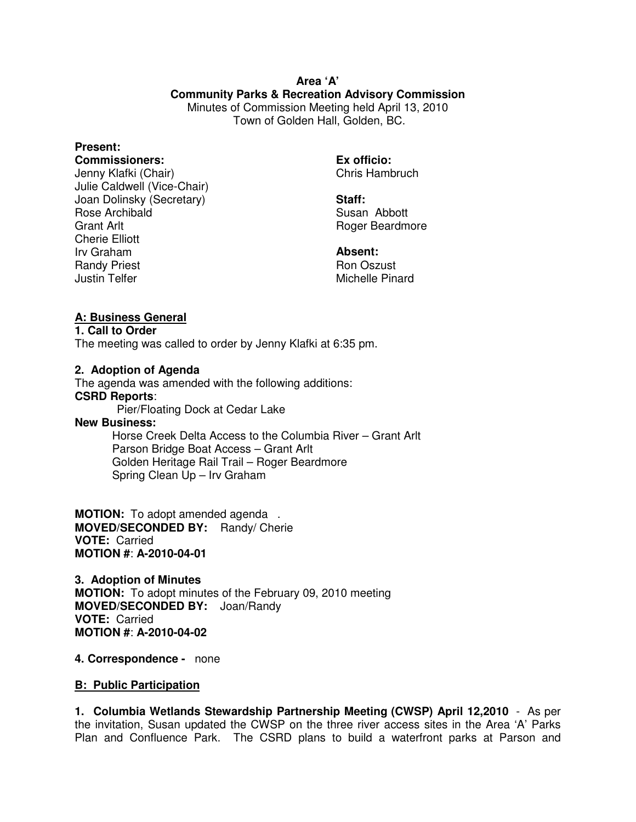### **Area 'A' Community Parks & Recreation Advisory Commission** Minutes of Commission Meeting held April 13, 2010 Town of Golden Hall, Golden, BC.

### **Present:**

#### **Commissioners:**

Jenny Klafki (Chair) Julie Caldwell (Vice-Chair) Joan Dolinsky (Secretary) Rose Archibald Grant Arlt Cherie Elliott Irv Graham Randy Priest Justin Telfer

**Ex officio:**  Chris Hambruch

**Staff:**  Susan Abbott Roger Beardmore

**Absent:**  Ron Oszust Michelle Pinard

### **A: Business General**

#### **1. Call to Order**

The meeting was called to order by Jenny Klafki at 6:35 pm.

#### **2. Adoption of Agenda**

The agenda was amended with the following additions: **CSRD Reports**:

Pier/Floating Dock at Cedar Lake

### **New Business:**

 Horse Creek Delta Access to the Columbia River – Grant Arlt Parson Bridge Boat Access – Grant Arlt Golden Heritage Rail Trail – Roger Beardmore Spring Clean Up – Irv Graham

**MOTION:** To adopt amended agenda . **MOVED/SECONDED BY:** Randy/ Cherie **VOTE:** Carried **MOTION #**: **A-2010-04-01**

**3. Adoption of Minutes MOTION:** To adopt minutes of the February 09, 2010 meeting **MOVED/SECONDED BY:** Joan/Randy **VOTE:** Carried **MOTION #**: **A-2010-04-02**

**4. Correspondence -** none

#### **B: Public Participation**

**1. Columbia Wetlands Stewardship Partnership Meeting (CWSP) April 12,2010** - As per the invitation, Susan updated the CWSP on the three river access sites in the Area 'A' Parks Plan and Confluence Park. The CSRD plans to build a waterfront parks at Parson and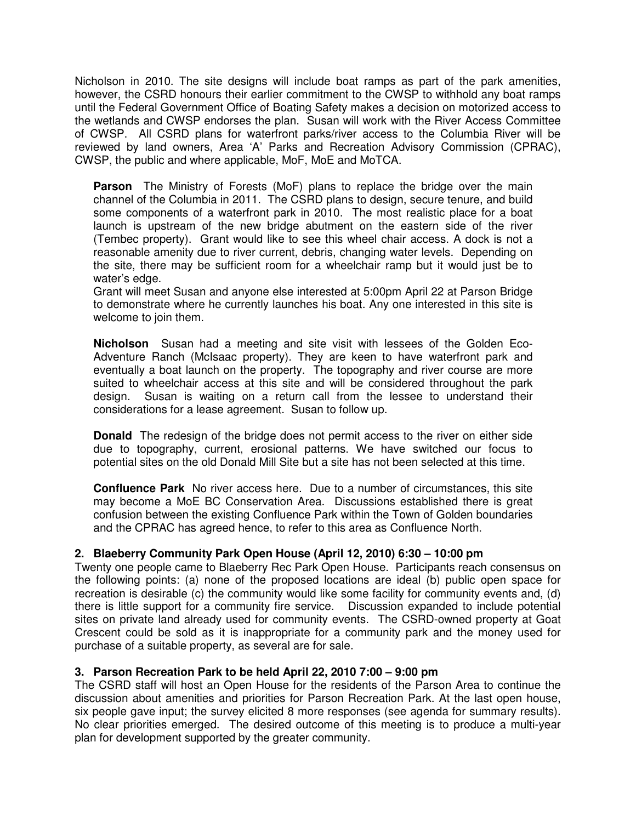Nicholson in 2010. The site designs will include boat ramps as part of the park amenities, however, the CSRD honours their earlier commitment to the CWSP to withhold any boat ramps until the Federal Government Office of Boating Safety makes a decision on motorized access to the wetlands and CWSP endorses the plan. Susan will work with the River Access Committee of CWSP. All CSRD plans for waterfront parks/river access to the Columbia River will be reviewed by land owners, Area 'A' Parks and Recreation Advisory Commission (CPRAC), CWSP, the public and where applicable, MoF, MoE and MoTCA.

**Parson** The Ministry of Forests (MoF) plans to replace the bridge over the main channel of the Columbia in 2011. The CSRD plans to design, secure tenure, and build some components of a waterfront park in 2010. The most realistic place for a boat launch is upstream of the new bridge abutment on the eastern side of the river (Tembec property). Grant would like to see this wheel chair access. A dock is not a reasonable amenity due to river current, debris, changing water levels. Depending on the site, there may be sufficient room for a wheelchair ramp but it would just be to water's edge.

Grant will meet Susan and anyone else interested at 5:00pm April 22 at Parson Bridge to demonstrate where he currently launches his boat. Any one interested in this site is welcome to join them.

**Nicholson** Susan had a meeting and site visit with lessees of the Golden Eco-Adventure Ranch (McIsaac property). They are keen to have waterfront park and eventually a boat launch on the property. The topography and river course are more suited to wheelchair access at this site and will be considered throughout the park design. Susan is waiting on a return call from the lessee to understand their considerations for a lease agreement. Susan to follow up.

**Donald** The redesign of the bridge does not permit access to the river on either side due to topography, current, erosional patterns. We have switched our focus to potential sites on the old Donald Mill Site but a site has not been selected at this time.

**Confluence Park** No river access here. Due to a number of circumstances, this site may become a MoE BC Conservation Area. Discussions established there is great confusion between the existing Confluence Park within the Town of Golden boundaries and the CPRAC has agreed hence, to refer to this area as Confluence North.

### **2. Blaeberry Community Park Open House (April 12, 2010) 6:30 – 10:00 pm**

Twenty one people came to Blaeberry Rec Park Open House. Participants reach consensus on the following points: (a) none of the proposed locations are ideal (b) public open space for recreation is desirable (c) the community would like some facility for community events and, (d) there is little support for a community fire service. Discussion expanded to include potential sites on private land already used for community events. The CSRD-owned property at Goat Crescent could be sold as it is inappropriate for a community park and the money used for purchase of a suitable property, as several are for sale.

#### **3. Parson Recreation Park to be held April 22, 2010 7:00 – 9:00 pm**

The CSRD staff will host an Open House for the residents of the Parson Area to continue the discussion about amenities and priorities for Parson Recreation Park. At the last open house, six people gave input; the survey elicited 8 more responses (see agenda for summary results). No clear priorities emerged. The desired outcome of this meeting is to produce a multi-year plan for development supported by the greater community.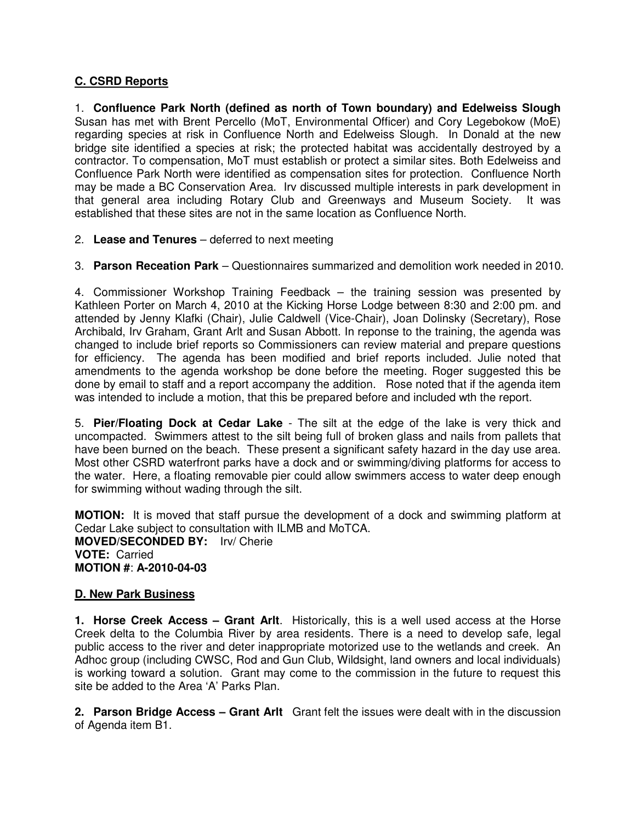# **C. CSRD Reports**

1. **Confluence Park North (defined as north of Town boundary) and Edelweiss Slough**  Susan has met with Brent Percello (MoT, Environmental Officer) and Cory Legebokow (MoE) regarding species at risk in Confluence North and Edelweiss Slough. In Donald at the new bridge site identified a species at risk; the protected habitat was accidentally destroyed by a contractor. To compensation, MoT must establish or protect a similar sites. Both Edelweiss and Confluence Park North were identified as compensation sites for protection. Confluence North may be made a BC Conservation Area. Irv discussed multiple interests in park development in that general area including Rotary Club and Greenways and Museum Society. It was established that these sites are not in the same location as Confluence North.

- 2. **Lease and Tenures**  deferred to next meeting
- 3. **Parson Receation Park**  Questionnaires summarized and demolition work needed in 2010.

4. Commissioner Workshop Training Feedback – the training session was presented by Kathleen Porter on March 4, 2010 at the Kicking Horse Lodge between 8:30 and 2:00 pm. and attended by Jenny Klafki (Chair), Julie Caldwell (Vice-Chair), Joan Dolinsky (Secretary), Rose Archibald, Irv Graham, Grant Arlt and Susan Abbott. In reponse to the training, the agenda was changed to include brief reports so Commissioners can review material and prepare questions for efficiency. The agenda has been modified and brief reports included. Julie noted that amendments to the agenda workshop be done before the meeting. Roger suggested this be done by email to staff and a report accompany the addition. Rose noted that if the agenda item was intended to include a motion, that this be prepared before and included wth the report.

5. **Pier/Floating Dock at Cedar Lake** - The silt at the edge of the lake is very thick and uncompacted. Swimmers attest to the silt being full of broken glass and nails from pallets that have been burned on the beach. These present a significant safety hazard in the day use area. Most other CSRD waterfront parks have a dock and or swimming/diving platforms for access to the water. Here, a floating removable pier could allow swimmers access to water deep enough for swimming without wading through the silt.

**MOTION:** It is moved that staff pursue the development of a dock and swimming platform at Cedar Lake subject to consultation with ILMB and MoTCA. **MOVED/SECONDED BY:** Irv/ Cherie **VOTE:** Carried **MOTION #**: **A-2010-04-03**

### **D. New Park Business**

**1. Horse Creek Access – Grant Arlt**. Historically, this is a well used access at the Horse Creek delta to the Columbia River by area residents. There is a need to develop safe, legal public access to the river and deter inappropriate motorized use to the wetlands and creek. An Adhoc group (including CWSC, Rod and Gun Club, Wildsight, land owners and local individuals) is working toward a solution. Grant may come to the commission in the future to request this site be added to the Area 'A' Parks Plan.

**2. Parson Bridge Access – Grant Arlt** Grant felt the issues were dealt with in the discussion of Agenda item B1.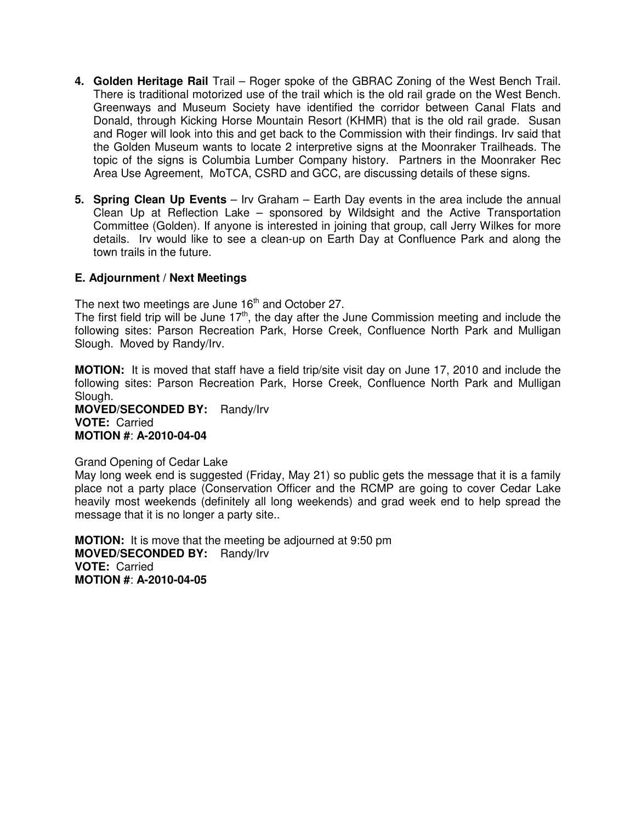- **4. Golden Heritage Rail** Trail Roger spoke of the GBRAC Zoning of the West Bench Trail. There is traditional motorized use of the trail which is the old rail grade on the West Bench. Greenways and Museum Society have identified the corridor between Canal Flats and Donald, through Kicking Horse Mountain Resort (KHMR) that is the old rail grade. Susan and Roger will look into this and get back to the Commission with their findings. Irv said that the Golden Museum wants to locate 2 interpretive signs at the Moonraker Trailheads. The topic of the signs is Columbia Lumber Company history. Partners in the Moonraker Rec Area Use Agreement, MoTCA, CSRD and GCC, are discussing details of these signs.
- **5. Spring Clean Up Events** Irv Graham Earth Day events in the area include the annual Clean Up at Reflection Lake – sponsored by Wildsight and the Active Transportation Committee (Golden). If anyone is interested in joining that group, call Jerry Wilkes for more details. Irv would like to see a clean-up on Earth Day at Confluence Park and along the town trails in the future.

### **E. Adjournment / Next Meetings**

The next two meetings are June  $16<sup>th</sup>$  and October 27.

The first field trip will be June  $17<sup>th</sup>$ , the day after the June Commission meeting and include the following sites: Parson Recreation Park, Horse Creek, Confluence North Park and Mulligan Slough. Moved by Randy/Irv.

**MOTION:** It is moved that staff have a field trip/site visit day on June 17, 2010 and include the following sites: Parson Recreation Park, Horse Creek, Confluence North Park and Mulligan Slough.

**MOVED/SECONDED BY:** Randy/Irv **VOTE:** Carried **MOTION #**: **A-2010-04-04**

#### Grand Opening of Cedar Lake

May long week end is suggested (Friday, May 21) so public gets the message that it is a family place not a party place (Conservation Officer and the RCMP are going to cover Cedar Lake heavily most weekends (definitely all long weekends) and grad week end to help spread the message that it is no longer a party site..

**MOTION:** It is move that the meeting be adjourned at 9:50 pm **MOVED/SECONDED BY:** Randy/Irv **VOTE:** Carried **MOTION #**: **A-2010-04-05**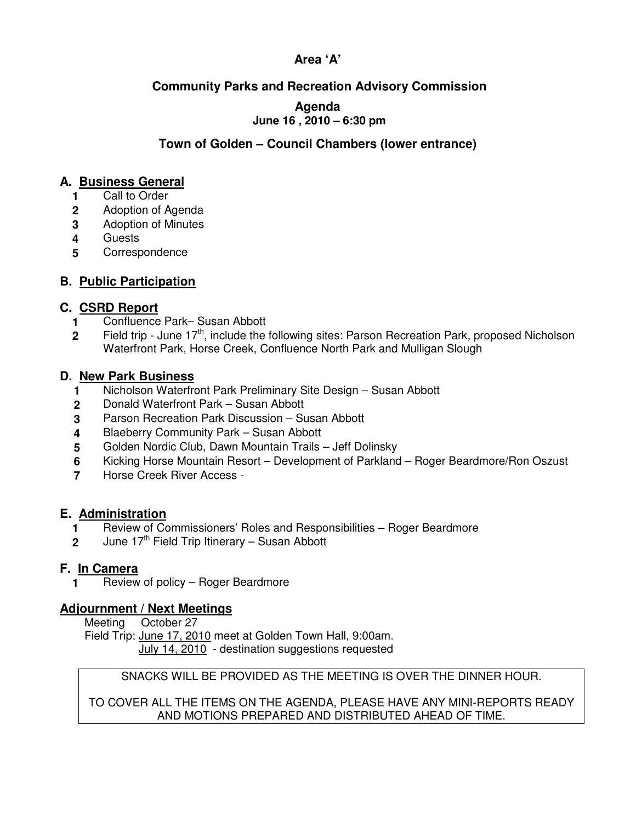# **Area 'A'**

# **Community Parks and Recreation Advisory Commission**

### **Agenda June 16 , 2010 – 6:30 pm**

# **Town of Golden – Council Chambers (lower entrance)**

# **A. Business General**

- **1** Call to Order
- **2**  Adoption of Agenda
- **3**  Adoption of Minutes
- **4**  Guests
- **5 Correspondence**

# **B. Public Participation**

# **C. CSRD Report**

- **1**  Confluence Park– Susan Abbott
- **2**  Field trip - June  $17<sup>th</sup>$ , include the following sites: Parson Recreation Park, proposed Nicholson Waterfront Park, Horse Creek, Confluence North Park and Mulligan Slough

## **D. New Park Business**

- **1**  Nicholson Waterfront Park Preliminary Site Design – Susan Abbott
- **2**  Donald Waterfront Park – Susan Abbott
- **3**  Parson Recreation Park Discussion – Susan Abbott
- **4**  Blaeberry Community Park – Susan Abbott
- **5**  Golden Nordic Club, Dawn Mountain Trails – Jeff Dolinsky
- **6**  Kicking Horse Mountain Resort – Development of Parkland – Roger Beardmore/Ron Oszust
- **7** Horse Creek River Access -

# **E. Administration**

- **1** Review of Commissioners' Roles and Responsibilities Roger Beardmore
- **2** June  $17<sup>th</sup>$  Field Trip Itinerary Susan Abbott

# **F. In Camera**

**1** Review of policy – Roger Beardmore

## **Adjournment / Next Meetings**

Meeting October 27

Field Trip: June 17, 2010 meet at Golden Town Hall, 9:00am.

July 14, 2010 - destination suggestions requested

# SNACKS WILL BE PROVIDED AS THE MEETING IS OVER THE DINNER HOUR.

TO COVER ALL THE ITEMS ON THE AGENDA, PLEASE HAVE ANY MINI-REPORTS READY AND MOTIONS PREPARED AND DISTRIBUTED AHEAD OF TIME.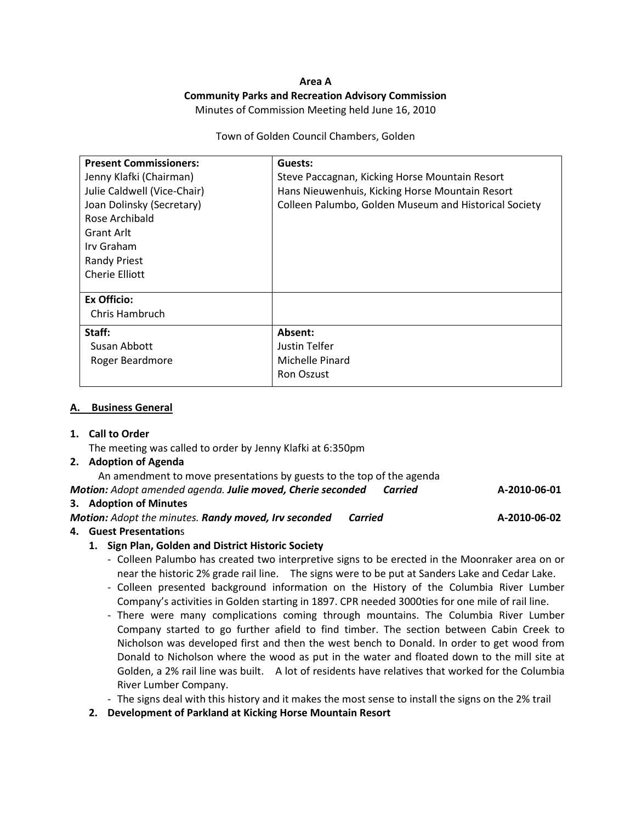#### Area A Community Parks and Recreation Advisory Commission Minutes of Commission Meeting held June 16, 2010

#### Town of Golden Council Chambers, Golden

| <b>Present Commissioners:</b><br>Jenny Klafki (Chairman)<br>Julie Caldwell (Vice-Chair)<br>Joan Dolinsky (Secretary)<br>Rose Archibald<br><b>Grant Arlt</b><br>Irv Graham<br><b>Randy Priest</b><br>Cherie Elliott | Guests:<br>Steve Paccagnan, Kicking Horse Mountain Resort<br>Hans Nieuwenhuis, Kicking Horse Mountain Resort<br>Colleen Palumbo, Golden Museum and Historical Society |
|--------------------------------------------------------------------------------------------------------------------------------------------------------------------------------------------------------------------|-----------------------------------------------------------------------------------------------------------------------------------------------------------------------|
| <b>Ex Officio:</b><br>Chris Hambruch                                                                                                                                                                               |                                                                                                                                                                       |
| Staff:<br>Susan Abbott<br>Roger Beardmore                                                                                                                                                                          | Absent:<br>Justin Telfer<br>Michelle Pinard<br>Ron Oszust                                                                                                             |

#### A. Business General

#### 1. Call to Order

The meeting was called to order by Jenny Klafki at 6:350pm

#### 2. Adoption of Agenda

An amendment to move presentations by guests to the top of the agenda

Motion: Adopt amended agenda. Julie moved, Cherie seconded Carried **A-2010-06-01** 

#### 3. Adoption of Minutes

Motion: Adopt the minutes. Randy moved, Irv seconded Carried Manuel A-2010-06-02

#### 4. Guest Presentations

#### 1. Sign Plan, Golden and District Historic Society

- Colleen Palumbo has created two interpretive signs to be erected in the Moonraker area on or near the historic 2% grade rail line. The signs were to be put at Sanders Lake and Cedar Lake.
- Colleen presented background information on the History of the Columbia River Lumber Company's activities in Golden starting in 1897. CPR needed 3000ties for one mile of rail line.
- There were many complications coming through mountains. The Columbia River Lumber Company started to go further afield to find timber. The section between Cabin Creek to Nicholson was developed first and then the west bench to Donald. In order to get wood from Donald to Nicholson where the wood as put in the water and floated down to the mill site at Golden, a 2% rail line was built. A lot of residents have relatives that worked for the Columbia River Lumber Company.
- The signs deal with this history and it makes the most sense to install the signs on the 2% trail
- 2. Development of Parkland at Kicking Horse Mountain Resort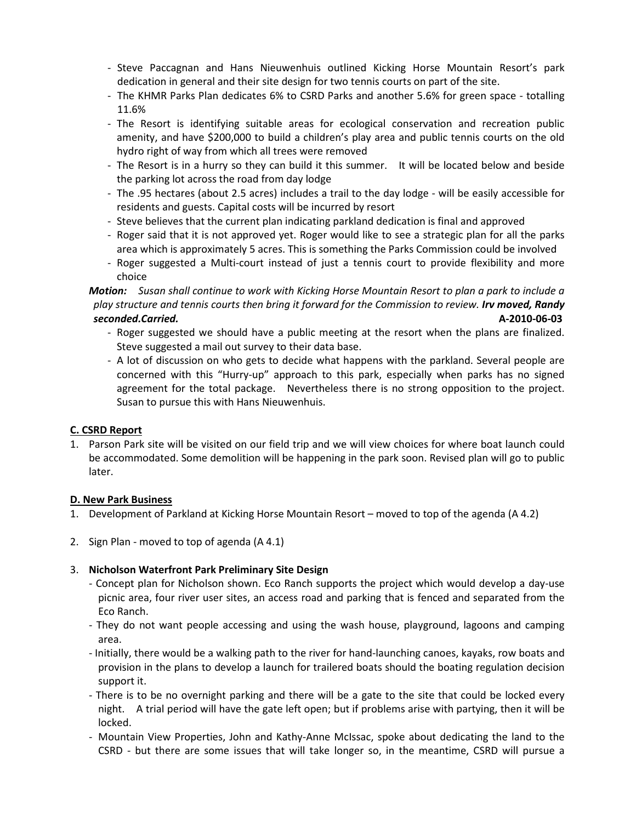- Steve Paccagnan and Hans Nieuwenhuis outlined Kicking Horse Mountain Resort's park dedication in general and their site design for two tennis courts on part of the site.
- The KHMR Parks Plan dedicates 6% to CSRD Parks and another 5.6% for green space totalling 11.6%
- The Resort is identifying suitable areas for ecological conservation and recreation public amenity, and have \$200,000 to build a children's play area and public tennis courts on the old hydro right of way from which all trees were removed
- The Resort is in a hurry so they can build it this summer. It will be located below and beside the parking lot across the road from day lodge
- The .95 hectares (about 2.5 acres) includes a trail to the day lodge will be easily accessible for residents and guests. Capital costs will be incurred by resort
- Steve believes that the current plan indicating parkland dedication is final and approved
- Roger said that it is not approved yet. Roger would like to see a strategic plan for all the parks area which is approximately 5 acres. This is something the Parks Commission could be involved
- Roger suggested a Multi-court instead of just a tennis court to provide flexibility and more choice

Motion: Susan shall continue to work with Kicking Horse Mountain Resort to plan a park to include a play structure and tennis courts then bring it forward for the Commission to review. Irv moved, Randy seconded.Carried. A-2010-06-03

- Roger suggested we should have a public meeting at the resort when the plans are finalized. Steve suggested a mail out survey to their data base.
- A lot of discussion on who gets to decide what happens with the parkland. Several people are concerned with this "Hurry-up" approach to this park, especially when parks has no signed agreement for the total package. Nevertheless there is no strong opposition to the project. Susan to pursue this with Hans Nieuwenhuis.

### C. CSRD Report

1. Parson Park site will be visited on our field trip and we will view choices for where boat launch could be accommodated. Some demolition will be happening in the park soon. Revised plan will go to public later.

### D. New Park Business

- 1. Development of Parkland at Kicking Horse Mountain Resort moved to top of the agenda (A 4.2)
- 2. Sign Plan moved to top of agenda (A 4.1)

### 3. Nicholson Waterfront Park Preliminary Site Design

- Concept plan for Nicholson shown. Eco Ranch supports the project which would develop a day-use picnic area, four river user sites, an access road and parking that is fenced and separated from the Eco Ranch.
- They do not want people accessing and using the wash house, playground, lagoons and camping area.
- Initially, there would be a walking path to the river for hand-launching canoes, kayaks, row boats and provision in the plans to develop a launch for trailered boats should the boating regulation decision support it.
- There is to be no overnight parking and there will be a gate to the site that could be locked every night. A trial period will have the gate left open; but if problems arise with partying, then it will be locked.
- Mountain View Properties, John and Kathy-Anne McIssac, spoke about dedicating the land to the CSRD - but there are some issues that will take longer so, in the meantime, CSRD will pursue a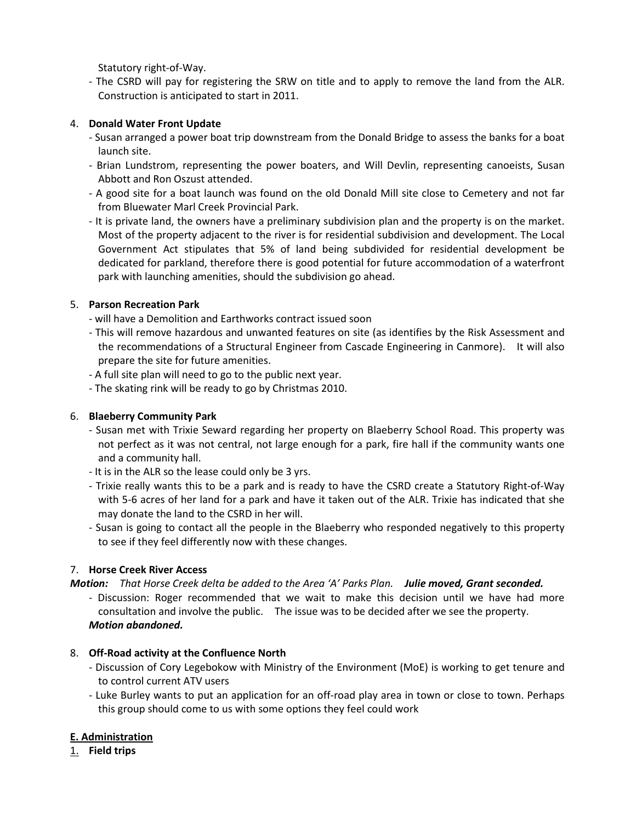Statutory right-of-Way.

- The CSRD will pay for registering the SRW on title and to apply to remove the land from the ALR. Construction is anticipated to start in 2011.

### 4. Donald Water Front Update

- Susan arranged a power boat trip downstream from the Donald Bridge to assess the banks for a boat launch site.
- Brian Lundstrom, representing the power boaters, and Will Devlin, representing canoeists, Susan Abbott and Ron Oszust attended.
- A good site for a boat launch was found on the old Donald Mill site close to Cemetery and not far from Bluewater Marl Creek Provincial Park.
- It is private land, the owners have a preliminary subdivision plan and the property is on the market. Most of the property adjacent to the river is for residential subdivision and development. The Local Government Act stipulates that 5% of land being subdivided for residential development be dedicated for parkland, therefore there is good potential for future accommodation of a waterfront park with launching amenities, should the subdivision go ahead.

### 5. Parson Recreation Park

- will have a Demolition and Earthworks contract issued soon
- This will remove hazardous and unwanted features on site (as identifies by the Risk Assessment and the recommendations of a Structural Engineer from Cascade Engineering in Canmore). It will also prepare the site for future amenities.
- A full site plan will need to go to the public next year.
- The skating rink will be ready to go by Christmas 2010.

### 6. Blaeberry Community Park

- Susan met with Trixie Seward regarding her property on Blaeberry School Road. This property was not perfect as it was not central, not large enough for a park, fire hall if the community wants one and a community hall.
- It is in the ALR so the lease could only be 3 yrs.
- Trixie really wants this to be a park and is ready to have the CSRD create a Statutory Right-of-Way with 5-6 acres of her land for a park and have it taken out of the ALR. Trixie has indicated that she may donate the land to the CSRD in her will.
- Susan is going to contact all the people in the Blaeberry who responded negatively to this property to see if they feel differently now with these changes.

#### 7. Horse Creek River Access

Motion: That Horse Creek delta be added to the Area 'A' Parks Plan. Julie moved, Grant seconded.

- Discussion: Roger recommended that we wait to make this decision until we have had more consultation and involve the public. The issue was to be decided after we see the property. Motion abandoned.

### 8. Off-Road activity at the Confluence North

- Discussion of Cory Legebokow with Ministry of the Environment (MoE) is working to get tenure and to control current ATV users
- Luke Burley wants to put an application for an off-road play area in town or close to town. Perhaps this group should come to us with some options they feel could work

### E. Administration

1. Field trips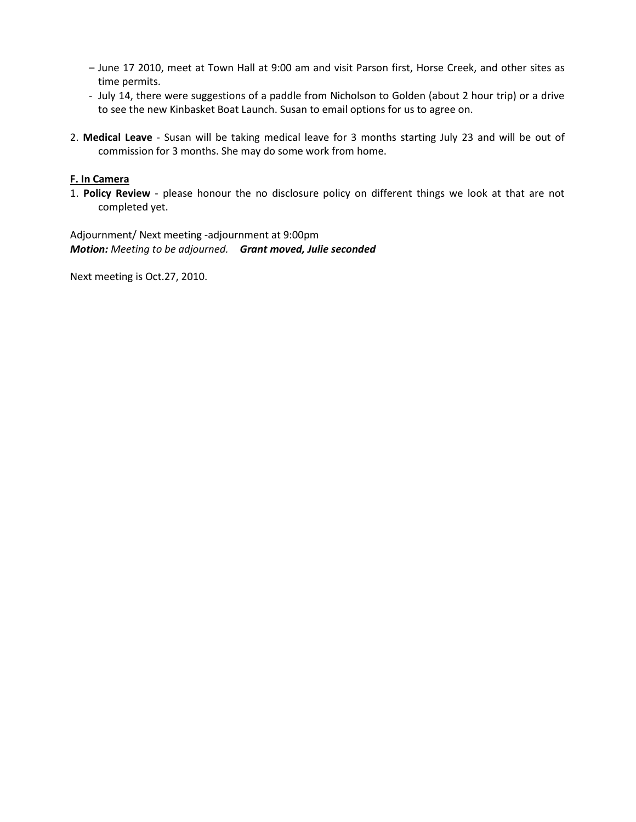- June 17 2010, meet at Town Hall at 9:00 am and visit Parson first, Horse Creek, and other sites as time permits.
- July 14, there were suggestions of a paddle from Nicholson to Golden (about 2 hour trip) or a drive to see the new Kinbasket Boat Launch. Susan to email options for us to agree on.
- 2. Medical Leave Susan will be taking medical leave for 3 months starting July 23 and will be out of commission for 3 months. She may do some work from home.

#### F. In Camera

1. Policy Review - please honour the no disclosure policy on different things we look at that are not completed yet.

Adjournment/ Next meeting -adjournment at 9:00pm Motion: Meeting to be adjourned. Grant moved, Julie seconded

Next meeting is Oct.27, 2010.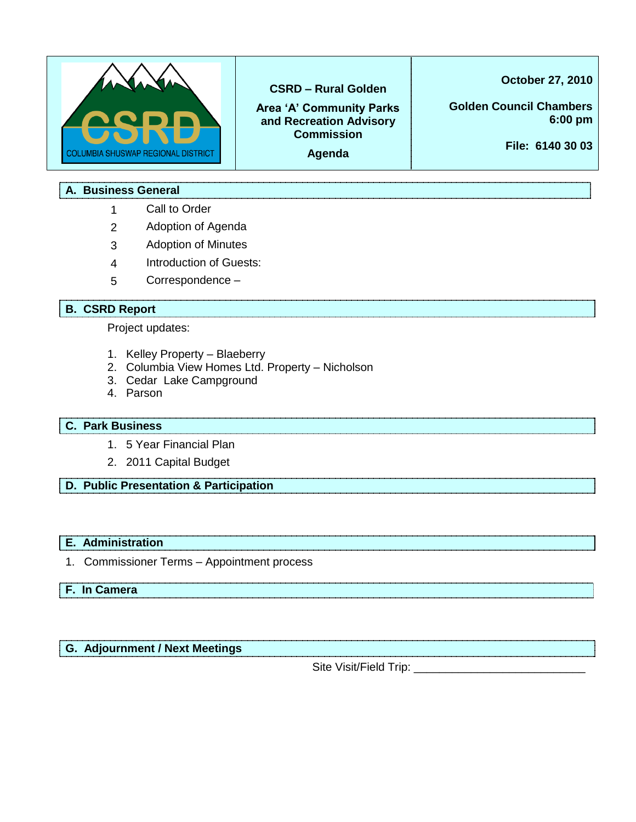

### **CSRD – Rural Golden**

**Area 'A' Community Parks and Recreation Advisory Commission** 

**Agenda** 

**October 27, 2010**

**Golden Council Chambers 6:00 pm**

**File: 6140 30 03**

### **A. Business General**

- 1 Call to Order
- 2 Adoption of Agenda
- 3 Adoption of Minutes
- 4 Introduction of Guests:
- 5 Correspondence –

### **B. CSRD Report**

Project updates:

- 1. Kelley Property Blaeberry
- 2. Columbia View Homes Ltd. Property Nicholson
- 3. Cedar Lake Campground
- 4. Parson

### **C. Park Business**

- 1. 5 Year Financial Plan
- 2. 2011 Capital Budget
- **D. Public Presentation & Participation**

### **E. Administration**

1. Commissioner Terms – Appointment process

# **F. In Camera**

### **G. Adjournment / Next Meetings**

Site Visit/Field Trip: \_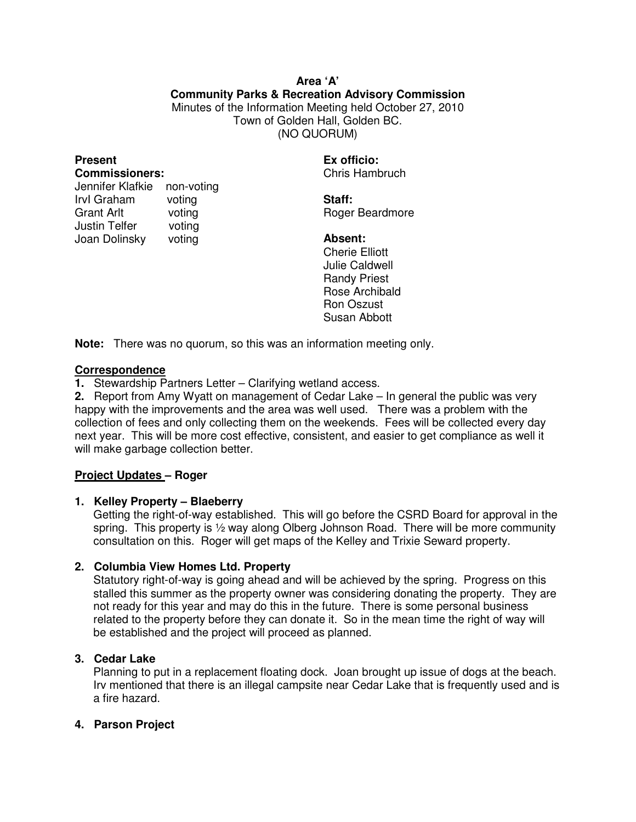### **Area 'A' Community Parks & Recreation Advisory Commission**  Minutes of the Information Meeting held October 27, 2010 Town of Golden Hall, Golden BC. (NO QUORUM)

### **Present Commissioners:**

| Jennifer Klafkie  | non-voting |
|-------------------|------------|
| Irvl Graham       | voting     |
| <b>Grant Arlt</b> | voting     |
| Justin Telfer     | voting     |
| Joan Dolinsky     | voting     |

**Ex officio:** Chris Hambruch

**Staff:**  Roger Beardmore

**Absent:**  Cherie Elliott Julie Caldwell Randy Priest Rose Archibald Ron Oszust Susan Abbott

**Note:** There was no quorum, so this was an information meeting only.

### **Correspondence**

**1.** Stewardship Partners Letter – Clarifying wetland access.

**2.** Report from Amy Wyatt on management of Cedar Lake – In general the public was very happy with the improvements and the area was well used. There was a problem with the collection of fees and only collecting them on the weekends. Fees will be collected every day next year. This will be more cost effective, consistent, and easier to get compliance as well it will make garbage collection better.

### **Project Updates – Roger**

### **1. Kelley Property – Blaeberry**

Getting the right-of-way established. This will go before the CSRD Board for approval in the spring. This property is  $\frac{1}{2}$  way along Olberg Johnson Road. There will be more community consultation on this. Roger will get maps of the Kelley and Trixie Seward property.

### **2. Columbia View Homes Ltd. Property**

Statutory right-of-way is going ahead and will be achieved by the spring. Progress on this stalled this summer as the property owner was considering donating the property. They are not ready for this year and may do this in the future. There is some personal business related to the property before they can donate it. So in the mean time the right of way will be established and the project will proceed as planned.

### **3. Cedar Lake**

Planning to put in a replacement floating dock. Joan brought up issue of dogs at the beach. Irv mentioned that there is an illegal campsite near Cedar Lake that is frequently used and is a fire hazard.

### **4. Parson Project**